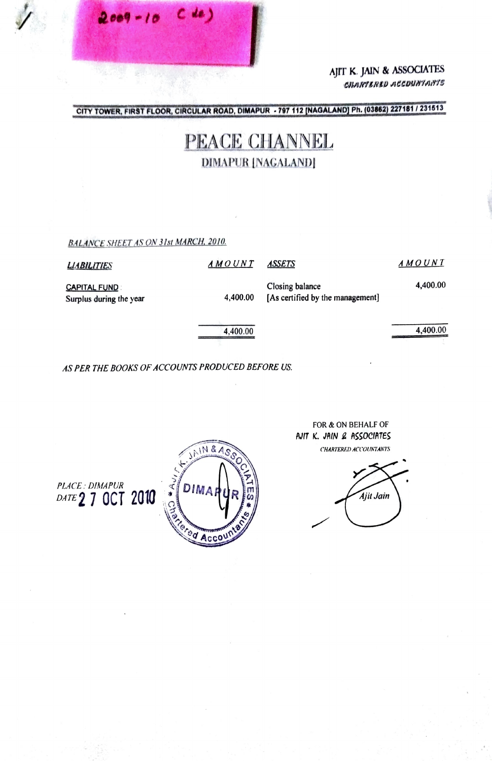AJIT K. JAIN & ASSOCIATES CHARTERED ACCOUNTANTS

CITY TOWER, FIRST FLOOR, CIRCULAR ROAD, DIMAPUR - 797 112 [NAGALAND] Ph. (03862) 227181 / 231513

## PEACE CHANNEL **DIMAPUR [NAGALAND]**

**BALANCE SHEET AS ON 31st MARCH, 2010.** 

| <b>LIABILITIES</b>                             | AMOUNT   | ASSETS                                              | A M O U N T |
|------------------------------------------------|----------|-----------------------------------------------------|-------------|
| <b>CAPITAL FUND</b><br>Surplus during the year | 4,400.00 | Closing balance<br>[As certified by the management] | 4,400.00    |
|                                                | 4,400.00 |                                                     | 4,400.00    |

AS PER THE BOOKS OF ACCOUNTS PRODUCED BEFORE US.



FOR & ON BEHALF OF AJIT K. JAIN & ASSOCIATES CHARTERED ACCOUNTANTS

Ajit Jain

PLACE: DIMAPUR<br>DATE 2 7 OCT 2010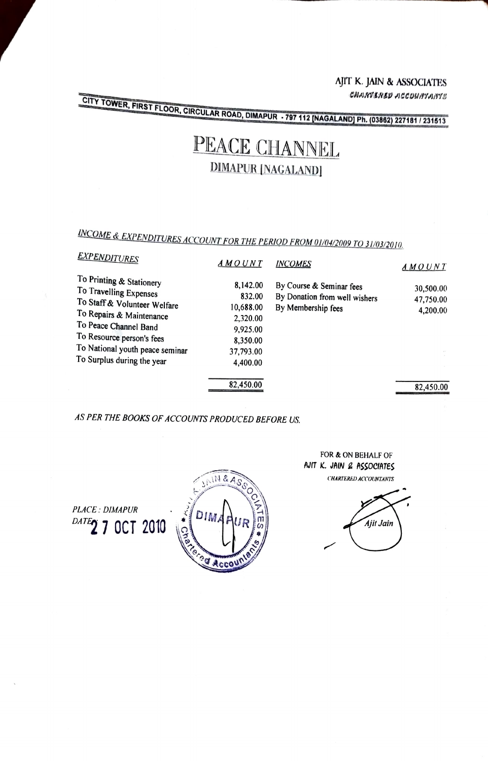AJIT K. JAIN & ASSOCIATES CHARTERED ACCOUNTANTS

CITY TOWER, FIRST FLOOR, CIRCULAR ROAD, DIMAPUR - 797 112 [NAGALAND] Ph. (03862) 227181 / 231513

## PEACE CHANNEL **DIMAPUR [NAGALAND]**

INCOME & EXPENDITURES ACCOUNT FOR THE PERIOD FROM 01/04/2009 TO 31/03/2010.

| <b>EXPENDITURES</b>                                                                                                                                                                                                                   | AMOUNT                                                                                       | <b>INCOMES</b>                                                                  | AMOUNT                             |
|---------------------------------------------------------------------------------------------------------------------------------------------------------------------------------------------------------------------------------------|----------------------------------------------------------------------------------------------|---------------------------------------------------------------------------------|------------------------------------|
| To Printing & Stationery<br>To Travelling Expenses<br>To Staff & Volunteer Welfare<br>To Repairs & Maintenance<br>To Peace Channel Band<br>To Resource person's fees<br>To National youth peace seminar<br>To Surplus during the year | 8,142.00<br>832.00<br>10,688.00<br>2,320.00<br>9,925.00<br>8,350.00<br>37,793.00<br>4,400.00 | By Course & Seminar fees<br>By Donation from well wishers<br>By Membership fees | 30,500.00<br>47,750.00<br>4,200.00 |
|                                                                                                                                                                                                                                       | 82,450.00                                                                                    |                                                                                 | 82,450.00                          |

AS PER THE BOOKS OF ACCOUNTS PRODUCED BEFORE US.

**PLACE: DIMAPUR** DATE2 7 OCT 2010



FOR & ON BEHALF OF AJIT K. JAIN & ASSOCIATES **CHARTERED ACCOUNTANTS**